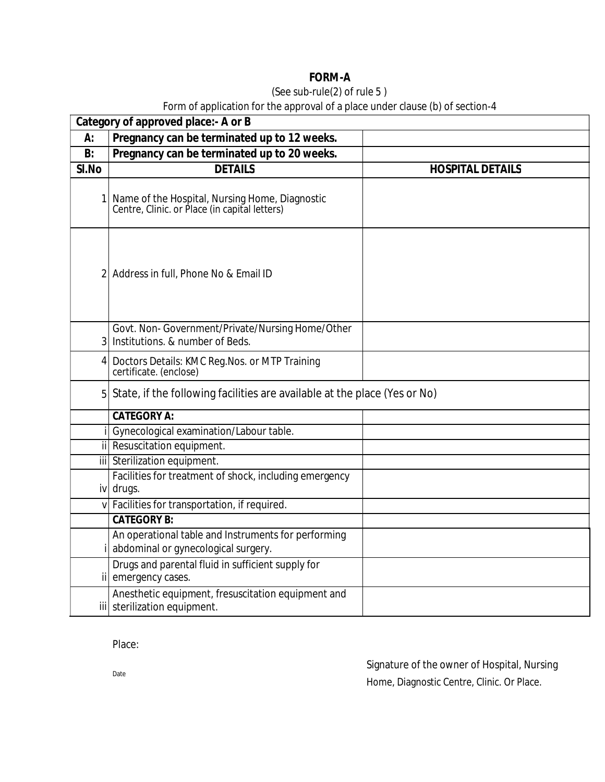## **FORM-A**

### (See sub-rule(2) of rule 5 )

### Form of application for the approval of a place under clause (b) of section-4

| Category of approved place: - A or B |                                                                                                 |                         |
|--------------------------------------|-------------------------------------------------------------------------------------------------|-------------------------|
| А:                                   | Pregnancy can be terminated up to 12 weeks.                                                     |                         |
| B:                                   | Pregnancy can be terminated up to 20 weeks.                                                     |                         |
| SI.No                                | <b>DETAILS</b>                                                                                  | <b>HOSPITAL DETAILS</b> |
|                                      | Name of the Hospital, Nursing Home, Diagnostic<br>Centre, Clinic. or Place (in capital letters) |                         |
|                                      | 2 Address in full, Phone No & Email ID                                                          |                         |
| 3                                    | Govt. Non-Government/Private/Nursing Home/Other<br>Institutions. & number of Beds.              |                         |
| 4                                    | Doctors Details: KMC Reg. Nos. or MTP Training<br>certificate. (enclose)                        |                         |
|                                      | 5 State, if the following facilities are available at the place (Yes or No)                     |                         |
|                                      | <b>CATEGORY A:</b>                                                                              |                         |
|                                      | Gynecological examination/Labour table.                                                         |                         |
|                                      | ii Resuscitation equipment.                                                                     |                         |
|                                      | iii Sterilization equipment.                                                                    |                         |
|                                      | Facilities for treatment of shock, including emergency<br>iv drugs.                             |                         |
|                                      | v Facilities for transportation, if required.                                                   |                         |
|                                      | <b>CATEGORY B:</b>                                                                              |                         |
|                                      | An operational table and Instruments for performing                                             |                         |
|                                      | abdominal or gynecological surgery.                                                             |                         |
|                                      | Drugs and parental fluid in sufficient supply for<br>ii emergency cases.                        |                         |
|                                      | Anesthetic equipment, fresuscitation equipment and<br>iii sterilization equipment.              |                         |

Place:

Signature of the owner of Hospital, Nursing Home, Diagnostic Centre, Clinic. Or Place.

Date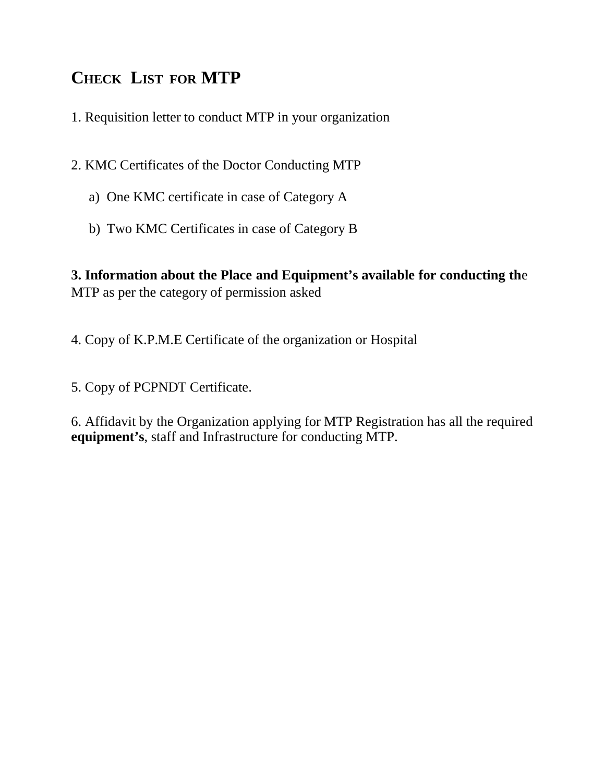# **CHECK LIST FOR MTP**

1. Requisition letter to conduct MTP in your organization

2. KMC Certificates of the Doctor Conducting MTP

- a) One KMC certificate in case of Category A
- b) Two KMC Certificates in case of Category B

**3. Information about the Place and Equipment's available for conducting th**e MTP as per the category of permission asked

4. Copy of K.P.M.E Certificate of the organization or Hospital

5. Copy of PCPNDT Certificate.

6. Affidavit by the Organization applying for MTP Registration has all the required **equipment's**, staff and Infrastructure for conducting MTP.